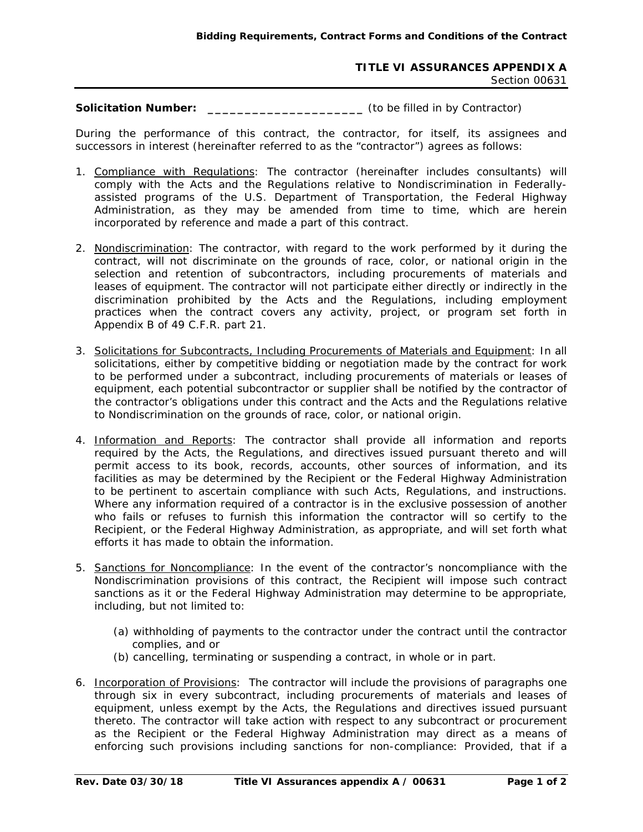## **TITLE VI ASSURANCES APPENDIX A** Section 00631

**Solicitation Number: \_\_\_\_\_\_\_\_\_\_\_\_\_\_\_\_\_\_\_\_\_** (to be filled in by Contractor)

During the performance of this contract, the contractor, for itself, its assignees and successors in interest (hereinafter referred to as the "contractor") agrees as follows:

- 1. Compliance with Regulations: The contractor (hereinafter includes consultants) will comply with the Acts and the Regulations relative to Nondiscrimination in Federallyassisted programs of the U.S. Department of Transportation, the Federal Highway Administration, as they may be amended from time to time, which are herein incorporated by reference and made a part of this contract.
- 2. Nondiscrimination: The contractor, with regard to the work performed by it during the contract, will not discriminate on the grounds of race, color, or national origin in the selection and retention of subcontractors, including procurements of materials and leases of equipment. The contractor will not participate either directly or indirectly in the discrimination prohibited by the Acts and the Regulations, including employment practices when the contract covers any activity, project, or program set forth in Appendix B of 49 C.F.R. part 21.
- 3. Solicitations for Subcontracts, Including Procurements of Materials and Equipment: In all solicitations, either by competitive bidding or negotiation made by the contract for work to be performed under a subcontract, including procurements of materials or leases of equipment, each potential subcontractor or supplier shall be notified by the contractor of the contractor's obligations under this contract and the Acts and the Regulations relative to Nondiscrimination on the grounds of race, color, or national origin.
- 4. Information and Reports: The contractor shall provide all information and reports required by the Acts, the Regulations, and directives issued pursuant thereto and will permit access to its book, records, accounts, other sources of information, and its facilities as may be determined by the Recipient or the Federal Highway Administration to be pertinent to ascertain compliance with such Acts, Regulations, and instructions. Where any information required of a contractor is in the exclusive possession of another who fails or refuses to furnish this information the contractor will so certify to the Recipient, or the Federal Highway Administration, as appropriate, and will set forth what efforts it has made to obtain the information.
- 5. Sanctions for Noncompliance: In the event of the contractor's noncompliance with the Nondiscrimination provisions of this contract, the Recipient will impose such contract sanctions as it or the Federal Highway Administration may determine to be appropriate, including, but not limited to:
	- (a) withholding of payments to the contractor under the contract until the contractor complies, and or
	- (b) cancelling, terminating or suspending a contract, in whole or in part.
- 6. Incorporation of Provisions: The contractor will include the provisions of paragraphs one through six in every subcontract, including procurements of materials and leases of equipment, unless exempt by the Acts, the Regulations and directives issued pursuant thereto. The contractor will take action with respect to any subcontract or procurement as the Recipient or the Federal Highway Administration may direct as a means of enforcing such provisions including sanctions for non-compliance: Provided, that if a